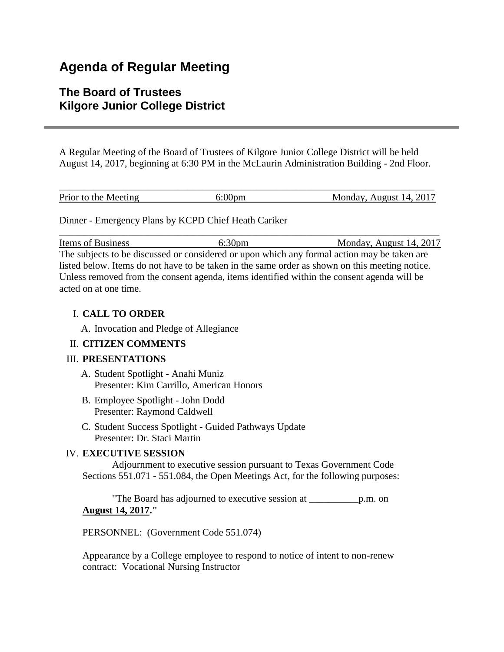# **Agenda of Regular Meeting**

## **The Board of Trustees Kilgore Junior College District**

A Regular Meeting of the Board of Trustees of Kilgore Junior College District will be held August 14, 2017, beginning at 6:30 PM in the McLaurin Administration Building - 2nd Floor.

| Prior to the Meeting | Monday, August 14, 2017 |
|----------------------|-------------------------|

Dinner - Emergency Plans by KCPD Chief Heath Cariker

Items of Business 6:30pm Monday, August 14, 2017 The subjects to be discussed or considered or upon which any formal action may be taken are listed below. Items do not have to be taken in the same order as shown on this meeting notice. Unless removed from the consent agenda, items identified within the consent agenda will be acted on at one time.

\_\_\_\_\_\_\_\_\_\_\_\_\_\_\_\_\_\_\_\_\_\_\_\_\_\_\_\_\_\_\_\_\_\_\_\_\_\_\_\_\_\_\_\_\_\_\_\_\_\_\_\_\_\_\_\_\_\_\_\_\_\_\_\_\_\_\_\_\_\_\_\_\_\_\_\_\_

## I. **CALL TO ORDER**

A. Invocation and Pledge of Allegiance

## II. **CITIZEN COMMENTS**

## III. **PRESENTATIONS**

- A. Student Spotlight Anahi Muniz Presenter: Kim Carrillo, American Honors
- B. Employee Spotlight John Dodd Presenter: Raymond Caldwell
- C. Student Success Spotlight Guided Pathways Update Presenter: Dr. Staci Martin

## IV. **EXECUTIVE SESSION**

 Adjournment to executive session pursuant to Texas Government Code Sections 551.071 - 551.084, the Open Meetings Act, for the following purposes:

 "The Board has adjourned to executive session at \_\_\_\_\_\_\_\_\_\_p.m. on **August 14, 2017."**

PERSONNEL: (Government Code 551.074)

Appearance by a College employee to respond to notice of intent to non-renew contract: Vocational Nursing Instructor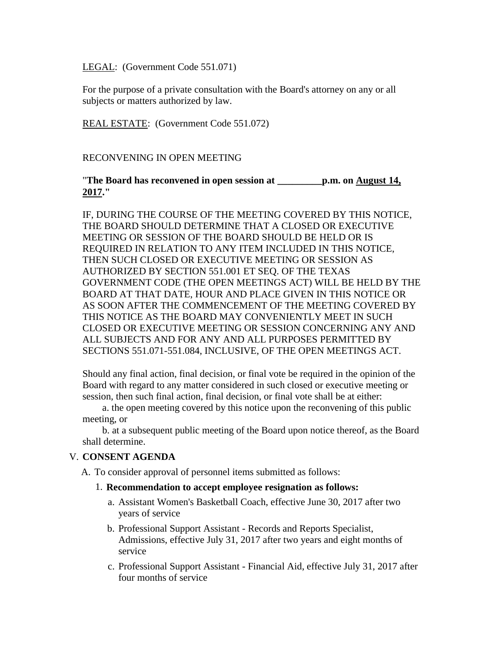LEGAL: (Government Code 551.071)

For the purpose of a private consultation with the Board's attorney on any or all subjects or matters authorized by law.

REAL ESTATE: (Government Code 551.072)

#### RECONVENING IN OPEN MEETING

#### "**The Board has reconvened in open session at \_\_\_\_\_\_\_\_\_p.m. on August 14, 2017."**

IF, DURING THE COURSE OF THE MEETING COVERED BY THIS NOTICE, THE BOARD SHOULD DETERMINE THAT A CLOSED OR EXECUTIVE MEETING OR SESSION OF THE BOARD SHOULD BE HELD OR IS REQUIRED IN RELATION TO ANY ITEM INCLUDED IN THIS NOTICE, THEN SUCH CLOSED OR EXECUTIVE MEETING OR SESSION AS AUTHORIZED BY SECTION 551.001 ET SEQ. OF THE TEXAS GOVERNMENT CODE (THE OPEN MEETINGS ACT) WILL BE HELD BY THE BOARD AT THAT DATE, HOUR AND PLACE GIVEN IN THIS NOTICE OR AS SOON AFTER THE COMMENCEMENT OF THE MEETING COVERED BY THIS NOTICE AS THE BOARD MAY CONVENIENTLY MEET IN SUCH CLOSED OR EXECUTIVE MEETING OR SESSION CONCERNING ANY AND ALL SUBJECTS AND FOR ANY AND ALL PURPOSES PERMITTED BY SECTIONS 551.071-551.084, INCLUSIVE, OF THE OPEN MEETINGS ACT.

Should any final action, final decision, or final vote be required in the opinion of the Board with regard to any matter considered in such closed or executive meeting or session, then such final action, final decision, or final vote shall be at either:

 a. the open meeting covered by this notice upon the reconvening of this public meeting, or

 b. at a subsequent public meeting of the Board upon notice thereof, as the Board shall determine.

#### V. **CONSENT AGENDA**

A. To consider approval of personnel items submitted as follows:

#### 1. **Recommendation to accept employee resignation as follows:**

- a. Assistant Women's Basketball Coach, effective June 30, 2017 after two years of service
- b. Professional Support Assistant Records and Reports Specialist, Admissions, effective July 31, 2017 after two years and eight months of service
- c. Professional Support Assistant Financial Aid, effective July 31, 2017 after four months of service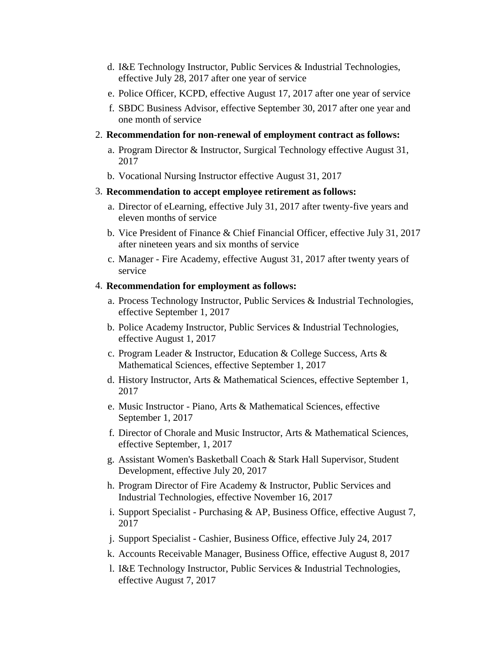- d. I&E Technology Instructor, Public Services & Industrial Technologies, effective July 28, 2017 after one year of service
- e. Police Officer, KCPD, effective August 17, 2017 after one year of service
- f. SBDC Business Advisor, effective September 30, 2017 after one year and one month of service
- 2. **Recommendation for non-renewal of employment contract as follows:**
	- a. Program Director & Instructor, Surgical Technology effective August 31, 2017
	- b. Vocational Nursing Instructor effective August 31, 2017
- 3. **Recommendation to accept employee retirement as follows:**
	- a. Director of eLearning, effective July 31, 2017 after twenty-five years and eleven months of service
	- b. Vice President of Finance & Chief Financial Officer, effective July 31, 2017 after nineteen years and six months of service
	- c. Manager Fire Academy, effective August 31, 2017 after twenty years of service

#### 4. **Recommendation for employment as follows:**

- a. Process Technology Instructor, Public Services & Industrial Technologies, effective September 1, 2017
- b. Police Academy Instructor, Public Services & Industrial Technologies, effective August 1, 2017
- c. Program Leader & Instructor, Education & College Success, Arts & Mathematical Sciences, effective September 1, 2017
- d. History Instructor, Arts & Mathematical Sciences, effective September 1, 2017
- e. Music Instructor Piano, Arts & Mathematical Sciences, effective September 1, 2017
- f. Director of Chorale and Music Instructor, Arts & Mathematical Sciences, effective September, 1, 2017
- g. Assistant Women's Basketball Coach & Stark Hall Supervisor, Student Development, effective July 20, 2017
- h. Program Director of Fire Academy & Instructor, Public Services and Industrial Technologies, effective November 16, 2017
- i. Support Specialist Purchasing & AP, Business Office, effective August 7, 2017
- j. Support Specialist Cashier, Business Office, effective July 24, 2017
- k. Accounts Receivable Manager, Business Office, effective August 8, 2017
- l. I&E Technology Instructor, Public Services & Industrial Technologies, effective August 7, 2017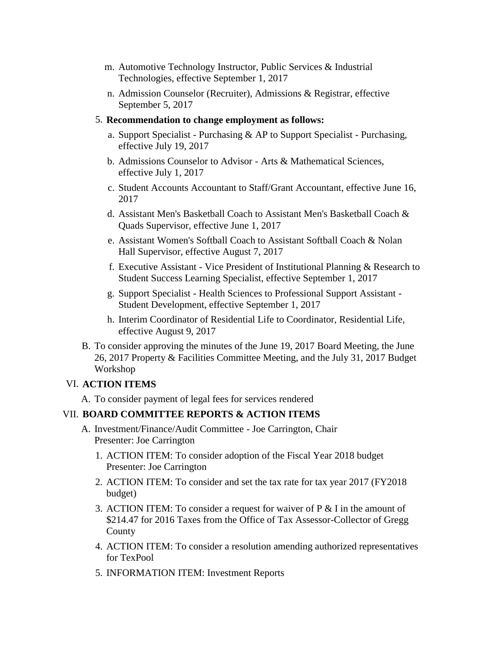- m. Automotive Technology Instructor, Public Services & Industrial Technologies, effective September 1, 2017
- n. Admission Counselor (Recruiter), Admissions & Registrar, effective September 5, 2017
- 5. **Recommendation to change employment as follows:**
	- a. Support Specialist Purchasing & AP to Support Specialist Purchasing, effective July 19, 2017
	- b. Admissions Counselor to Advisor Arts & Mathematical Sciences, effective July 1, 2017
	- c. Student Accounts Accountant to Staff/Grant Accountant, effective June 16, 2017
	- d. Assistant Men's Basketball Coach to Assistant Men's Basketball Coach & Quads Supervisor, effective June 1, 2017
	- e. Assistant Women's Softball Coach to Assistant Softball Coach & Nolan Hall Supervisor, effective August 7, 2017
	- f. Executive Assistant Vice President of Institutional Planning & Research to Student Success Learning Specialist, effective September 1, 2017
	- g. Support Specialist Health Sciences to Professional Support Assistant Student Development, effective September 1, 2017
	- h. Interim Coordinator of Residential Life to Coordinator, Residential Life, effective August 9, 2017
- B. To consider approving the minutes of the June 19, 2017 Board Meeting, the June 26, 2017 Property & Facilities Committee Meeting, and the July 31, 2017 Budget Workshop

## VI. **ACTION ITEMS**

A. To consider payment of legal fees for services rendered

## VII. **BOARD COMMITTEE REPORTS & ACTION ITEMS**

- A. Investment/Finance/Audit Committee Joe Carrington, Chair Presenter: Joe Carrington
	- 1. ACTION ITEM: To consider adoption of the Fiscal Year 2018 budget Presenter: Joe Carrington
	- 2. ACTION ITEM: To consider and set the tax rate for tax year 2017 (FY2018 budget)
	- 3. ACTION ITEM: To consider a request for waiver of  $P \&$  I in the amount of \$214.47 for 2016 Taxes from the Office of Tax Assessor-Collector of Gregg County
	- 4. ACTION ITEM: To consider a resolution amending authorized representatives for TexPool
	- 5. INFORMATION ITEM: Investment Reports